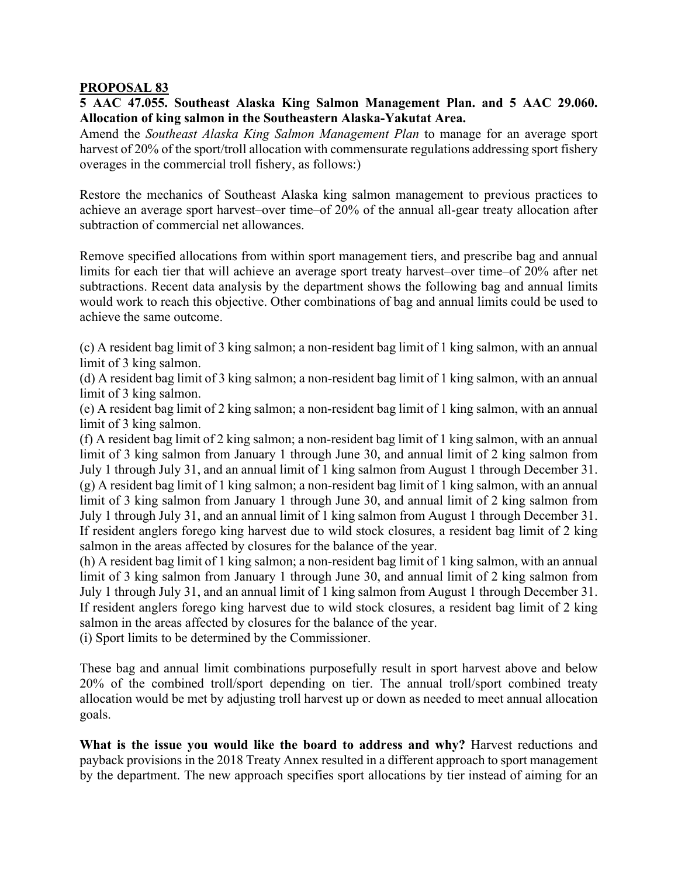## **PROPOSAL 83**

## **5 AAC 47.055. Southeast Alaska King Salmon Management Plan. and 5 AAC 29.060. Allocation of king salmon in the Southeastern Alaska-Yakutat Area.**

Amend the *Southeast Alaska King Salmon Management Plan* to manage for an average sport harvest of 20% of the sport/troll allocation with commensurate regulations addressing sport fishery overages in the commercial troll fishery, as follows:)

Restore the mechanics of Southeast Alaska king salmon management to previous practices to achieve an average sport harvest–over time–of 20% of the annual all-gear treaty allocation after subtraction of commercial net allowances.

Remove specified allocations from within sport management tiers, and prescribe bag and annual limits for each tier that will achieve an average sport treaty harvest–over time–of 20% after net subtractions. Recent data analysis by the department shows the following bag and annual limits would work to reach this objective. Other combinations of bag and annual limits could be used to achieve the same outcome.

(c) A resident bag limit of 3 king salmon; a non-resident bag limit of 1 king salmon, with an annual limit of 3 king salmon.

(d) A resident bag limit of 3 king salmon; a non-resident bag limit of 1 king salmon, with an annual limit of 3 king salmon.

(e) A resident bag limit of 2 king salmon; a non-resident bag limit of 1 king salmon, with an annual limit of 3 king salmon.

(f) A resident bag limit of 2 king salmon; a non-resident bag limit of 1 king salmon, with an annual limit of 3 king salmon from January 1 through June 30, and annual limit of 2 king salmon from July 1 through July 31, and an annual limit of 1 king salmon from August 1 through December 31. (g) A resident bag limit of 1 king salmon; a non-resident bag limit of 1 king salmon, with an annual limit of 3 king salmon from January 1 through June 30, and annual limit of 2 king salmon from July 1 through July 31, and an annual limit of 1 king salmon from August 1 through December 31. If resident anglers forego king harvest due to wild stock closures, a resident bag limit of 2 king salmon in the areas affected by closures for the balance of the year.

(h) A resident bag limit of 1 king salmon; a non-resident bag limit of 1 king salmon, with an annual limit of 3 king salmon from January 1 through June 30, and annual limit of 2 king salmon from July 1 through July 31, and an annual limit of 1 king salmon from August 1 through December 31. If resident anglers forego king harvest due to wild stock closures, a resident bag limit of 2 king salmon in the areas affected by closures for the balance of the year.

(i) Sport limits to be determined by the Commissioner.

These bag and annual limit combinations purposefully result in sport harvest above and below 20% of the combined troll/sport depending on tier. The annual troll/sport combined treaty allocation would be met by adjusting troll harvest up or down as needed to meet annual allocation goals.

**What is the issue you would like the board to address and why?** Harvest reductions and payback provisions in the 2018 Treaty Annex resulted in a different approach to sport management by the department. The new approach specifies sport allocations by tier instead of aiming for an